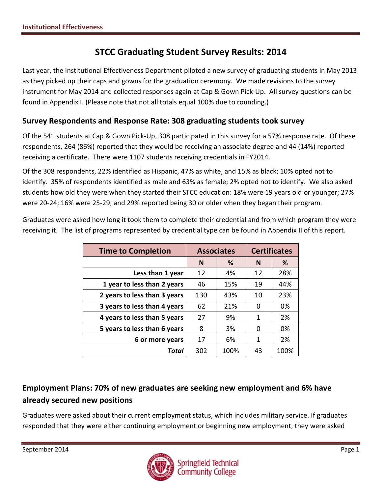# **STCC Graduating Student Survey Results: 2014**

Last year, the Institutional Effectiveness Department piloted a new survey of graduating students in May 2013 as they picked up their caps and gowns for the graduation ceremony. We made revisions to the survey instrument for May 2014 and collected responses again at Cap & Gown Pick-Up. All survey questions can be found in Appendix I. (Please note that not all totals equal 100% due to rounding.)

### **Survey Respondents and Response Rate: 308 graduating students took survey**

Of the 541 students at Cap & Gown Pick-Up, 308 participated in this survey for a 57% response rate. Of these respondents, 264 (86%) reported that they would be receiving an associate degree and 44 (14%) reported receiving a certificate. There were 1107 students receiving credentials in FY2014.

Of the 308 respondents, 22% identified as Hispanic, 47% as white, and 15% as black; 10% opted not to identify. 35% of respondents identified as male and 63% as female; 2% opted not to identify. We also asked students how old they were when they started their STCC education: 18% were 19 years old or younger; 27% were 20-24; 16% were 25-29; and 29% reported being 30 or older when they began their program.

Graduates were asked how long it took them to complete their credential and from which program they were receiving it. The list of programs represented by credential type can be found in Appendix II of this report.

| <b>Time to Completion</b>    |        | <b>Associates</b> | <b>Certificates</b> |      |  |
|------------------------------|--------|-------------------|---------------------|------|--|
|                              | %<br>N |                   | N                   | %    |  |
| Less than 1 year             | 12     | 4%                | 12                  | 28%  |  |
| 1 year to less than 2 years  | 46     | 15%               | 19                  | 44%  |  |
| 2 years to less than 3 years | 130    | 43%               | 10                  | 23%  |  |
| 3 years to less than 4 years | 62     | 21%               | 0                   | 0%   |  |
| 4 years to less than 5 years | 27     | 9%                | 1                   | 2%   |  |
| 5 years to less than 6 years | 8      | 3%                | 0                   | 0%   |  |
| 6 or more years              | 17     | 6%                | 1                   | 2%   |  |
| Total                        | 302    | 100%              | 43                  | 100% |  |

# **Employment Plans: 70% of new graduates are seeking new employment and 6% have already secured new positions**

Graduates were asked about their current employment status, which includes military service. If graduates responded that they were either continuing employment or beginning new employment, they were asked

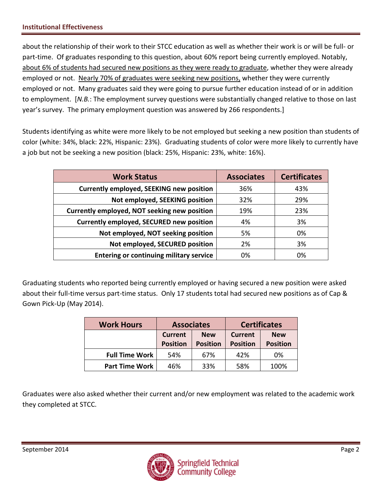about the relationship of their work to their STCC education as well as whether their work is or will be full- or part-time. Of graduates responding to this question, about 60% report being currently employed. Notably, about 6% of students had secured new positions as they were ready to graduate, whether they were already employed or not. Nearly 70% of graduates were seeking new positions, whether they were currently employed or not. Many graduates said they were going to pursue further education instead of or in addition to employment. [*N.B.*: The employment survey questions were substantially changed relative to those on last year's survey. The primary employment question was answered by 266 respondents.]

Students identifying as white were more likely to be not employed but seeking a new position than students of color (white: 34%, black: 22%, Hispanic: 23%). Graduating students of color were more likely to currently have a job but not be seeking a new position (black: 25%, Hispanic: 23%, white: 16%).

| <b>Work Status</b>                              | <b>Associates</b> | <b>Certificates</b> |
|-------------------------------------------------|-------------------|---------------------|
| <b>Currently employed, SEEKING new position</b> | 36%               | 43%                 |
| Not employed, SEEKING position                  | 32%               | 29%                 |
| Currently employed, NOT seeking new position    | 19%               | 23%                 |
| <b>Currently employed, SECURED new position</b> | 4%                | 3%                  |
| Not employed, NOT seeking position              | 5%                | 0%                  |
| Not employed, SECURED position                  | 2%                | 3%                  |
| <b>Entering or continuing military service</b>  | 0%                | 0%                  |

Graduating students who reported being currently employed or having secured a new position were asked about their full-time versus part-time status. Only 17 students total had secured new positions as of Cap & Gown Pick-Up (May 2014).

| <b>Work Hours</b>     | <b>Associates</b>                                                  |     |                                   | <b>Certificates</b>           |
|-----------------------|--------------------------------------------------------------------|-----|-----------------------------------|-------------------------------|
|                       | <b>Current</b><br><b>New</b><br><b>Position</b><br><b>Position</b> |     | <b>Current</b><br><b>Position</b> | <b>New</b><br><b>Position</b> |
| <b>Full Time Work</b> | 54%                                                                | 67% | 42%                               | 0%                            |
| <b>Part Time Work</b> | 46%                                                                | 33% | 58%                               | 100%                          |

Graduates were also asked whether their current and/or new employment was related to the academic work they completed at STCC.

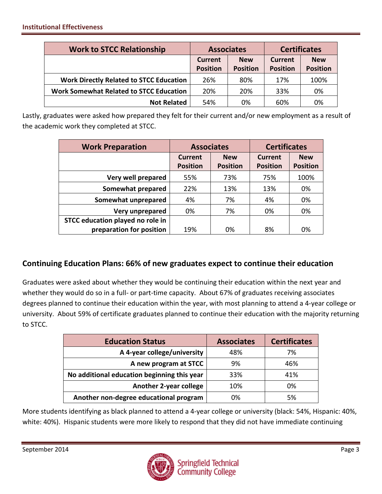| <b>Work to STCC Relationship</b>               | <b>Associates</b>                                                  |     | <b>Certificates</b> |                 |  |
|------------------------------------------------|--------------------------------------------------------------------|-----|---------------------|-----------------|--|
|                                                | <b>New</b><br><b>Current</b><br><b>Position</b><br><b>Position</b> |     | Current             | <b>New</b>      |  |
|                                                |                                                                    |     | <b>Position</b>     | <b>Position</b> |  |
| <b>Work Directly Related to STCC Education</b> | 26%                                                                | 80% | 17%                 | 100%            |  |
| <b>Work Somewhat Related to STCC Education</b> | 20%                                                                | 20% | 33%                 | 0%              |  |
| <b>Not Related</b>                             | 54%                                                                | 0%  | 60%                 | 0%              |  |

Lastly, graduates were asked how prepared they felt for their current and/or new employment as a result of the academic work they completed at STCC.

| <b>Work Preparation</b>          | <b>Associates</b>            |                 | <b>Certificates</b> |                 |  |
|----------------------------------|------------------------------|-----------------|---------------------|-----------------|--|
|                                  | <b>Current</b><br><b>New</b> |                 | <b>Current</b>      | <b>New</b>      |  |
|                                  | <b>Position</b>              | <b>Position</b> | <b>Position</b>     | <b>Position</b> |  |
| Very well prepared               | 55%                          | 73%             | 75%                 | 100%            |  |
| Somewhat prepared                | 22%                          | 13%             | 13%                 | 0%              |  |
| Somewhat unprepared              | 4%                           | 7%              | 4%                  | 0%              |  |
| Very unprepared                  | 0%                           | 7%              | 0%                  | 0%              |  |
| STCC education played no role in |                              |                 |                     |                 |  |
| preparation for position         | 19%                          | 0%              | 8%                  | 0%              |  |

### **Continuing Education Plans: 66% of new graduates expect to continue their education**

Graduates were asked about whether they would be continuing their education within the next year and whether they would do so in a full- or part-time capacity. About 67% of graduates receiving associates degrees planned to continue their education within the year, with most planning to attend a 4-year college or university. About 59% of certificate graduates planned to continue their education with the majority returning to STCC.

| <b>Education Status</b>                     | <b>Associates</b> | <b>Certificates</b> |
|---------------------------------------------|-------------------|---------------------|
| A 4-year college/university                 | 48%               | 7%                  |
| A new program at STCC                       | 9%                | 46%                 |
| No additional education beginning this year | 33%               | 41%                 |
| <b>Another 2-year college</b>               | 10%               | 0%                  |
| Another non-degree educational program      | 0%                | 5%                  |

More students identifying as black planned to attend a 4-year college or university (black: 54%, Hispanic: 40%, white: 40%). Hispanic students were more likely to respond that they did not have immediate continuing

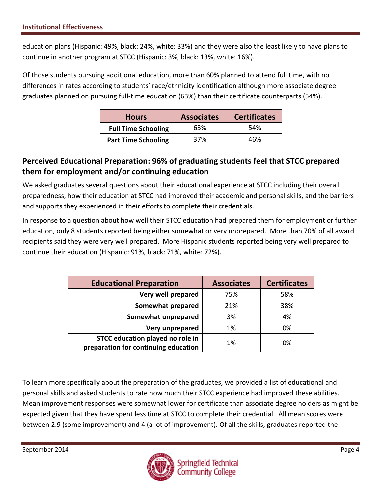education plans (Hispanic: 49%, black: 24%, white: 33%) and they were also the least likely to have plans to continue in another program at STCC (Hispanic: 3%, black: 13%, white: 16%).

Of those students pursuing additional education, more than 60% planned to attend full time, with no differences in rates according to students' race/ethnicity identification although more associate degree graduates planned on pursuing full-time education (63%) than their certificate counterparts (54%).

| <b>Hours</b>               | <b>Associates</b> | <b>Certificates</b> |
|----------------------------|-------------------|---------------------|
| <b>Full Time Schooling</b> | 63%               | .54%                |
| <b>Part Time Schooling</b> | 37%               | 46%                 |

### **Perceived Educational Preparation: 96% of graduating students feel that STCC prepared them for employment and/or continuing education**

We asked graduates several questions about their educational experience at STCC including their overall preparedness, how their education at STCC had improved their academic and personal skills, and the barriers and supports they experienced in their efforts to complete their credentials.

In response to a question about how well their STCC education had prepared them for employment or further education, only 8 students reported being either somewhat or very unprepared. More than 70% of all award recipients said they were very well prepared. More Hispanic students reported being very well prepared to continue their education (Hispanic: 91%, black: 71%, white: 72%).

| <b>Educational Preparation</b>       | <b>Associates</b> | <b>Certificates</b> |
|--------------------------------------|-------------------|---------------------|
| Very well prepared                   | 75%               | 58%                 |
| Somewhat prepared                    | 21%               | 38%                 |
| Somewhat unprepared                  | 3%                | 4%                  |
| Very unprepared                      | 1%                | 0%                  |
| STCC education played no role in     | 1%                | 0%                  |
| preparation for continuing education |                   |                     |

To learn more specifically about the preparation of the graduates, we provided a list of educational and personal skills and asked students to rate how much their STCC experience had improved these abilities. Mean improvement responses were somewhat lower for certificate than associate degree holders as might be expected given that they have spent less time at STCC to complete their credential. All mean scores were between 2.9 (some improvement) and 4 (a lot of improvement). Of all the skills, graduates reported the

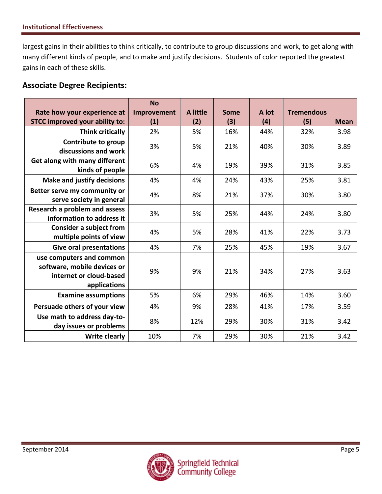largest gains in their abilities to think critically, to contribute to group discussions and work, to get along with many different kinds of people, and to make and justify decisions. Students of color reported the greatest gains in each of these skills.

### **Associate Degree Recipients:**

|                                       | <b>No</b>   |          |      |       |                   |             |
|---------------------------------------|-------------|----------|------|-------|-------------------|-------------|
| Rate how your experience at           | Improvement | A little | Some | A lot | <b>Tremendous</b> |             |
| <b>STCC improved your ability to:</b> | (1)         | (2)      | (3)  | (4)   | (5)               | <b>Mean</b> |
| Think critically                      | 2%          | 5%       | 16%  | 44%   | 32%               | 3.98        |
| Contribute to group                   | 3%          | 5%       | 21%  | 40%   | 30%               | 3.89        |
| discussions and work                  |             |          |      |       |                   |             |
| Get along with many different         | 6%          | 4%       | 19%  | 39%   | 31%               | 3.85        |
| kinds of people                       |             |          |      |       |                   |             |
| <b>Make and justify decisions</b>     | 4%          | 4%       | 24%  | 43%   | 25%               | 3.81        |
| Better serve my community or          | 4%          | 8%       | 21%  | 37%   | 30%               | 3.80        |
| serve society in general              |             |          |      |       |                   |             |
| Research a problem and assess         | 3%          | 5%       | 25%  | 44%   | 24%               | 3.80        |
| information to address it             |             |          |      |       |                   |             |
| <b>Consider a subject from</b>        | 4%          | 5%       | 28%  | 41%   | 22%               | 3.73        |
| multiple points of view               |             |          |      |       |                   |             |
| <b>Give oral presentations</b>        | 4%          | 7%       | 25%  | 45%   | 19%               | 3.67        |
| use computers and common              |             |          |      |       |                   |             |
| software, mobile devices or           | 9%          | 9%       | 21%  | 34%   | 27%               | 3.63        |
| internet or cloud-based               |             |          |      |       |                   |             |
| applications                          |             |          |      |       |                   |             |
| <b>Examine assumptions</b>            | 5%          | 6%       | 29%  | 46%   | 14%               | 3.60        |
| Persuade others of your view          | 4%          | 9%       | 28%  | 41%   | 17%               | 3.59        |
| Use math to address day-to-           | 8%          | 12%      | 29%  | 30%   | 31%               | 3.42        |
| day issues or problems                |             |          |      |       |                   |             |
| <b>Write clearly</b>                  | 10%         | 7%       | 29%  | 30%   | 21%               | 3.42        |

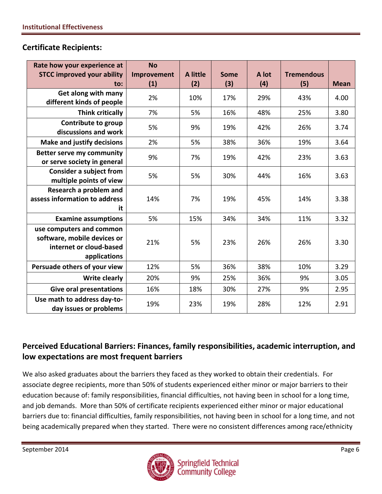#### **Certificate Recipients:**

| Rate how your experience at<br><b>STCC improved your ability</b>                                   | <b>No</b><br>Improvement | A little | <b>Some</b> | A lot | <b>Tremendous</b> |             |
|----------------------------------------------------------------------------------------------------|--------------------------|----------|-------------|-------|-------------------|-------------|
| to:                                                                                                | (1)                      | (2)      | (3)         | (4)   | (5)               | <b>Mean</b> |
| Get along with many<br>different kinds of people                                                   | 2%                       | 10%      | 17%         | 29%   | 43%               | 4.00        |
| <b>Think critically</b>                                                                            | 7%                       | 5%       | 16%         | 48%   | 25%               | 3.80        |
| Contribute to group<br>discussions and work                                                        | 5%                       | 9%       | 19%         | 42%   | 26%               | 3.74        |
| <b>Make and justify decisions</b>                                                                  | 2%                       | 5%       | 38%         | 36%   | 19%               | 3.64        |
| <b>Better serve my community</b><br>or serve society in general                                    | 9%                       | 7%       | 19%         | 42%   | 23%               | 3.63        |
| <b>Consider a subject from</b><br>multiple points of view                                          | 5%                       | 5%       | 30%         | 44%   | 16%               | 3.63        |
| Research a problem and<br>assess information to address<br>it                                      | 14%                      | 7%       | 19%         | 45%   | 14%               | 3.38        |
| <b>Examine assumptions</b>                                                                         | 5%                       | 15%      | 34%         | 34%   | 11%               | 3.32        |
| use computers and common<br>software, mobile devices or<br>internet or cloud-based<br>applications | 21%                      | 5%       | 23%         | 26%   | 26%               | 3.30        |
| Persuade others of your view                                                                       | 12%                      | 5%       | 36%         | 38%   | 10%               | 3.29        |
| <b>Write clearly</b>                                                                               | 20%                      | 9%       | 25%         | 36%   | 9%                | 3.05        |
| <b>Give oral presentations</b>                                                                     | 16%                      | 18%      | 30%         | 27%   | 9%                | 2.95        |
| Use math to address day-to-<br>day issues or problems                                              | 19%                      | 23%      | 19%         | 28%   | 12%               | 2.91        |

### **Perceived Educational Barriers: Finances, family responsibilities, academic interruption, and low expectations are most frequent barriers**

We also asked graduates about the barriers they faced as they worked to obtain their credentials. For associate degree recipients, more than 50% of students experienced either minor or major barriers to their education because of: family responsibilities, financial difficulties, not having been in school for a long time, and job demands. More than 50% of certificate recipients experienced either minor or major educational barriers due to: financial difficulties, family responsibilities, not having been in school for a long time, and not being academically prepared when they started. There were no consistent differences among race/ethnicity

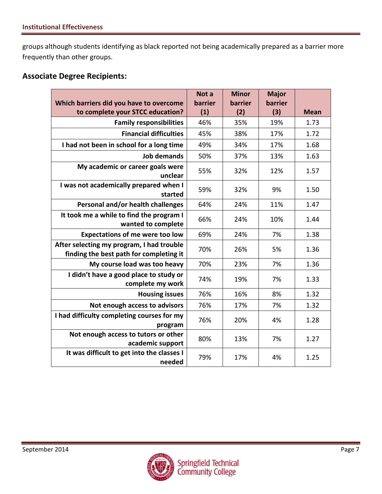groups although students identifying as black reported not being academically prepared as a barrier more frequently than other groups.

#### **Associate Degree Recipients:**

|                                                                                      | Not a   | <b>Minor</b> | <b>Major</b> |             |
|--------------------------------------------------------------------------------------|---------|--------------|--------------|-------------|
| Which barriers did you have to overcome                                              | barrier | barrier      | barrier      |             |
| to complete your STCC education?                                                     | (1)     | (2)          | (3)          | <b>Mean</b> |
| <b>Family responsibilities</b>                                                       | 46%     | 35%          | 19%          | 1.73        |
| <b>Financial difficulties</b>                                                        | 45%     | 38%          | 17%          | 1.72        |
| I had not been in school for a long time                                             | 49%     | 34%          | 17%          | 1.68        |
| <b>Job demands</b>                                                                   | 50%     | 37%          | 13%          | 1.63        |
| My academic or career goals were<br>unclear                                          | 55%     | 32%          | 12%          | 1.57        |
| I was not academically prepared when I<br>started                                    | 59%     | 32%          | 9%           | 1.50        |
| Personal and/or health challenges                                                    | 64%     | 24%          | 11%          | 1.47        |
| It took me a while to find the program I<br>wanted to complete                       | 66%     | 24%          | 10%          | 1.44        |
| <b>Expectations of me were too low</b>                                               | 69%     | 24%          | 7%           | 1.38        |
| After selecting my program, I had trouble<br>finding the best path for completing it | 70%     | 26%          | 5%           | 1.36        |
| My course load was too heavy                                                         | 70%     | 23%          | 7%           | 1.36        |
| I didn't have a good place to study or<br>complete my work                           | 74%     | 19%          | 7%           | 1.33        |
| <b>Housing issues</b>                                                                | 76%     | 16%          | 8%           | 1.32        |
| Not enough access to advisors                                                        | 76%     | 17%          | 7%           | 1.32        |
| I had difficulty completing courses for my<br>program                                | 76%     | 20%          | 4%           | 1.28        |
| Not enough access to tutors or other<br>academic support                             | 80%     | 13%          | 7%           | 1.27        |
| It was difficult to get into the classes I<br>needed                                 | 79%     | 17%          | 4%           | 1.25        |

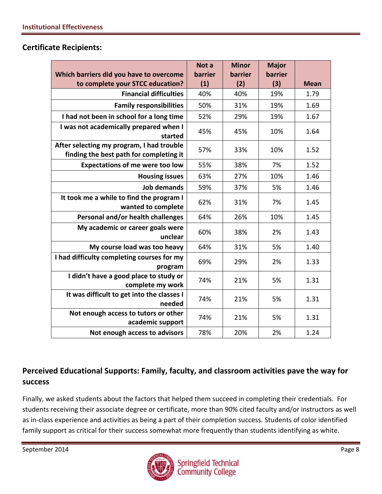#### **Certificate Recipients:**

|                                                                                      | Not a   | <b>Minor</b> | <b>Major</b> |             |
|--------------------------------------------------------------------------------------|---------|--------------|--------------|-------------|
| Which barriers did you have to overcome                                              | barrier | barrier      | barrier      |             |
| to complete your STCC education?                                                     | (1)     | (2)          | (3)          | <b>Mean</b> |
| <b>Financial difficulties</b>                                                        | 40%     | 40%          | 19%          | 1.79        |
| <b>Family responsibilities</b>                                                       | 50%     | 31%          | 19%          | 1.69        |
| I had not been in school for a long time                                             | 52%     | 29%          | 19%          | 1.67        |
| I was not academically prepared when I<br>started                                    | 45%     | 45%          | 10%          | 1.64        |
| After selecting my program, I had trouble<br>finding the best path for completing it | 57%     | 33%          | 10%          | 1.52        |
| <b>Expectations of me were too low</b>                                               | 55%     | 38%          | 7%           | 1.52        |
| <b>Housing issues</b>                                                                | 63%     | 27%          | 10%          | 1.46        |
| <b>Job demands</b>                                                                   | 59%     | 37%          | 5%           | 1.46        |
| It took me a while to find the program I<br>wanted to complete                       | 62%     | 31%          | 7%           | 1.45        |
| Personal and/or health challenges                                                    | 64%     | 26%          | 10%          | 1.45        |
| My academic or career goals were<br>unclear                                          | 60%     | 38%          | 2%           | 1.43        |
| My course load was too heavy                                                         | 64%     | 31%          | 5%           | 1.40        |
| I had difficulty completing courses for my<br>program                                | 69%     | 29%          | 2%           | 1.33        |
| I didn't have a good place to study or<br>complete my work                           | 74%     | 21%          | 5%           | 1.31        |
| It was difficult to get into the classes I<br>needed                                 | 74%     | 21%          | 5%           | 1.31        |
| Not enough access to tutors or other<br>academic support                             | 74%     | 21%          | 5%           | 1.31        |
| Not enough access to advisors                                                        | 78%     | 20%          | 2%           | 1.24        |

# **Perceived Educational Supports: Family, faculty, and classroom activities pave the way for success**

Finally, we asked students about the factors that helped them succeed in completing their credentials. For students receiving their associate degree or certificate, more than 90% cited faculty and/or instructors as well as in-class experience and activities as being a part of their completion success. Students of color identified family support as critical for their success somewhat more frequently than students identifying as white.

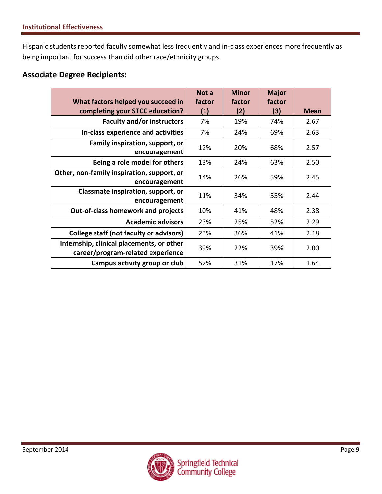Hispanic students reported faculty somewhat less frequently and in-class experiences more frequently as being important for success than did other race/ethnicity groups.

### **Associate Degree Recipients:**

|                                                                                | Not a  | <b>Minor</b> | <b>Major</b> |             |
|--------------------------------------------------------------------------------|--------|--------------|--------------|-------------|
| What factors helped you succeed in                                             | factor | factor       | factor       |             |
| completing your STCC education?                                                | (1)    | (2)          | (3)          | <b>Mean</b> |
| <b>Faculty and/or instructors</b>                                              | 7%     | 19%          | 74%          | 2.67        |
| In-class experience and activities                                             | 7%     | 24%          | 69%          | 2.63        |
| Family inspiration, support, or<br>encouragement                               | 12%    | 20%          | 68%          | 2.57        |
| Being a role model for others                                                  | 13%    | 24%          | 63%          | 2.50        |
| Other, non-family inspiration, support, or<br>encouragement                    | 14%    | 26%          | 59%          | 2.45        |
| Classmate inspiration, support, or<br>encouragement                            | 11%    | 34%          | 55%          | 2.44        |
| <b>Out-of-class homework and projects</b>                                      | 10%    | 41%          | 48%          | 2.38        |
| <b>Academic advisors</b>                                                       | 23%    | 25%          | 52%          | 2.29        |
| College staff (not faculty or advisors)                                        | 23%    | 36%          | 41%          | 2.18        |
| Internship, clinical placements, or other<br>career/program-related experience | 39%    | 22%          | 39%          | 2.00        |
| Campus activity group or club                                                  | 52%    | 31%          | 17%          | 1.64        |

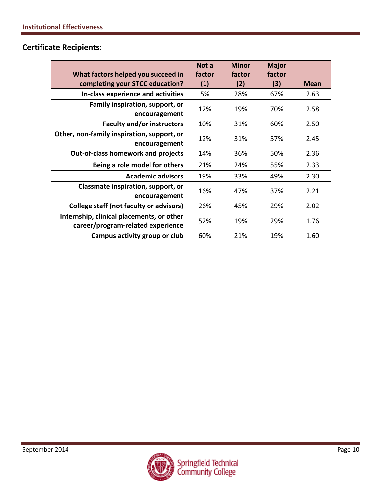# **Certificate Recipients:**

| What factors helped you succeed in<br>completing your STCC education?          | Not a<br>factor<br>(1) | <b>Minor</b><br>factor<br>(2) | <b>Major</b><br>factor<br>(3) | Mean |
|--------------------------------------------------------------------------------|------------------------|-------------------------------|-------------------------------|------|
| In-class experience and activities                                             | 5%                     | 28%                           | 67%                           | 2.63 |
| Family inspiration, support, or<br>encouragement                               | 12%                    | 19%                           | 70%                           | 2.58 |
| <b>Faculty and/or instructors</b>                                              | 10%                    | 31%                           | 60%                           | 2.50 |
| Other, non-family inspiration, support, or<br>encouragement                    | 12%                    | 31%                           | 57%                           | 2.45 |
| <b>Out-of-class homework and projects</b>                                      | 14%                    | 36%                           | 50%                           | 2.36 |
| Being a role model for others                                                  | 21%                    | 24%                           | 55%                           | 2.33 |
| <b>Academic advisors</b>                                                       | 19%                    | 33%                           | 49%                           | 2.30 |
| Classmate inspiration, support, or<br>encouragement                            | 16%                    | 47%                           | 37%                           | 2.21 |
| <b>College staff (not faculty or advisors)</b>                                 | 26%                    | 45%                           | 29%                           | 2.02 |
| Internship, clinical placements, or other<br>career/program-related experience | 52%                    | 19%                           | 29%                           | 1.76 |
| Campus activity group or club                                                  | 60%                    | 21%                           | 19%                           | 1.60 |

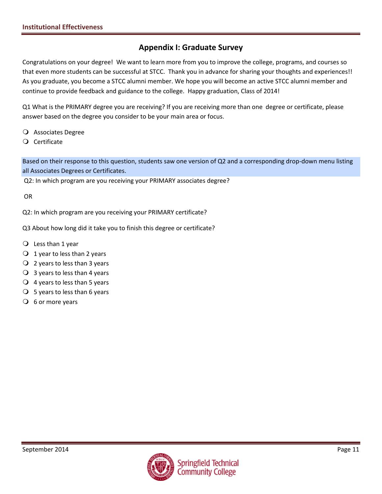### **Appendix I: Graduate Survey**

Congratulations on your degree! We want to learn more from you to improve the college, programs, and courses so that even more students can be successful at STCC. Thank you in advance for sharing your thoughts and experiences!! As you graduate, you become a STCC alumni member. We hope you will become an active STCC alumni member and continue to provide feedback and guidance to the college. Happy graduation, Class of 2014!

Q1 What is the PRIMARY degree you are receiving? If you are receiving more than one degree or certificate, please answer based on the degree you consider to be your main area or focus.

- Associates Degree
- Certificate

Based on their response to this question, students saw one version of Q2 and a corresponding drop-down menu listing all Associates Degrees or Certificates.

Q2: In which program are you receiving your PRIMARY associates degree?

OR

Q2: In which program are you receiving your PRIMARY certificate?

Q3 About how long did it take you to finish this degree or certificate?

- $\bigcirc$  Less than 1 year
- $\bigcirc$  1 year to less than 2 years
- $\overline{Q}$  2 years to less than 3 years
- $\overline{Q}$  3 years to less than 4 years
- $\overline{Q}$  4 years to less than 5 years
- $\bigcirc$  5 years to less than 6 years
- $\overline{O}$  6 or more years

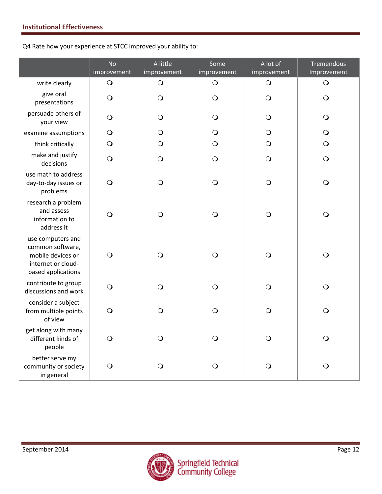Q4 Rate how your experience at STCC improved your ability to:

|                                                                                                        | <b>No</b><br>improvement | A little<br>improvement | Some<br>improvement | A lot of<br>improvement | Tremendous<br>Improvement |
|--------------------------------------------------------------------------------------------------------|--------------------------|-------------------------|---------------------|-------------------------|---------------------------|
| write clearly                                                                                          | $\bigcirc$               | $\bigcirc$              | $\bigcirc$          | $\bigcirc$              | $\bigcirc$                |
| give oral<br>presentations                                                                             | $\bigcirc$               | $\bigcirc$              | $\bigcirc$          | $\bigcirc$              | $\bigcirc$                |
| persuade others of<br>your view                                                                        | $\bigcirc$               | $\bigcirc$              | $\bigcirc$          | $\bigcirc$              | $\bigcirc$                |
| examine assumptions                                                                                    | $\bigcirc$               | $\bigcirc$              | $\bigcirc$          | $\bigcirc$              | $\bigcirc$                |
| think critically                                                                                       | $\bigcirc$               | O                       | $\bigcirc$          | O                       | $\bigcirc$                |
| make and justify<br>decisions                                                                          | $\bigcirc$               | $\bigcirc$              | $\bigcirc$          | $\bigcirc$              | $\bigcirc$                |
| use math to address<br>day-to-day issues or<br>problems                                                | $\bigcirc$               | $\bigcirc$              | $\bigcirc$          | $\bigcirc$              | $\bigcirc$                |
| research a problem<br>and assess<br>information to<br>address it                                       | $\bigcirc$               | $\bigcirc$              | $\bigcirc$          | $\bigcirc$              | $\bigcirc$                |
| use computers and<br>common software,<br>mobile devices or<br>internet or cloud-<br>based applications | $\bigcirc$               | $\bigcirc$              | $\bigcirc$          | $\bigcirc$              | $\bigcirc$                |
| contribute to group<br>discussions and work                                                            | $\bigcirc$               | $\bigcirc$              | $\bigcirc$          | $\bigcirc$              | $\bigcirc$                |
| consider a subject<br>from multiple points<br>of view                                                  | $\bigcirc$               | $\bigcirc$              | $\bigcirc$          | $\bigcirc$              | $\bigcirc$                |
| get along with many<br>different kinds of<br>people                                                    | $\bigcirc$               | $\bigcirc$              | $\bigcirc$          | $\bigcirc$              | $\bigcirc$                |
| better serve my<br>community or society<br>in general                                                  | $\Omega$                 | O                       | O                   | O                       | $\bigcirc$                |

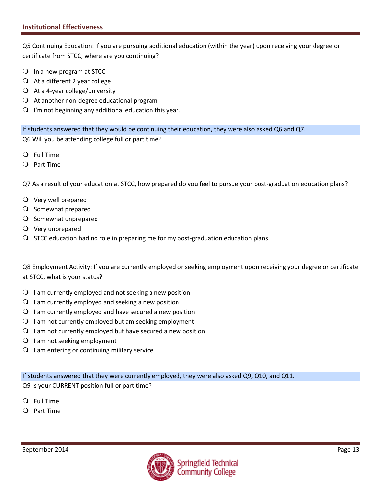Q5 Continuing Education: If you are pursuing additional education (within the year) upon receiving your degree or certificate from STCC, where are you continuing?

- In a new program at STCC
- $\bigcirc$  At a different 2 year college
- $\bigcirc$  At a 4-year college/university
- $\Omega$  At another non-degree educational program
- $\bigcirc$  I'm not beginning any additional education this year.

If students answered that they would be continuing their education, they were also asked Q6 and Q7. Q6 Will you be attending college full or part time?

- Full Time
- Part Time

Q7 As a result of your education at STCC, how prepared do you feel to pursue your post-graduation education plans?

- Very well prepared
- O Somewhat prepared
- O Somewhat unprepared
- $\overline{Q}$  Very unprepared
- $\bigcirc$  STCC education had no role in preparing me for my post-graduation education plans

Q8 Employment Activity: If you are currently employed or seeking employment upon receiving your degree or certificate at STCC, what is your status?

- $\bigcirc$  I am currently employed and not seeking a new position
- $\Omega$  I am currently employed and seeking a new position
- $\Omega$  I am currently employed and have secured a new position
- $\Omega$  I am not currently employed but am seeking employment
- $\Omega$  I am not currently employed but have secured a new position
- $\bigcirc$  I am not seeking employment
- $\bigcirc$  I am entering or continuing military service

If students answered that they were currently employed, they were also asked Q9, Q10, and Q11. Q9 Is your CURRENT position full or part time?

- Full Time
- $Q$  Part Time

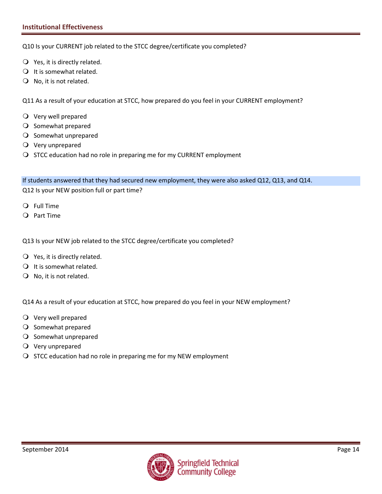Q10 Is your CURRENT job related to the STCC degree/certificate you completed?

- $\bigcirc$  Yes, it is directly related.
- $\bigcirc$  It is somewhat related.
- $\bigcirc$  No, it is not related.

Q11 As a result of your education at STCC, how prepared do you feel in your CURRENT employment?

- Very well prepared
- O Somewhat prepared
- O Somewhat unprepared
- Very unprepared
- O STCC education had no role in preparing me for my CURRENT employment

If students answered that they had secured new employment, they were also asked Q12, Q13, and Q14.

Q12 Is your NEW position full or part time?

- Full Time
- Part Time

Q13 Is your NEW job related to the STCC degree/certificate you completed?

- Yes, it is directly related.
- $\bigcirc$  It is somewhat related.
- $\bigcirc$  No, it is not related.

Q14 As a result of your education at STCC, how prepared do you feel in your NEW employment?

- Very well prepared
- O Somewhat prepared
- $\bigcirc$  Somewhat unprepared
- Very unprepared
- $\bigcirc$  STCC education had no role in preparing me for my NEW employment

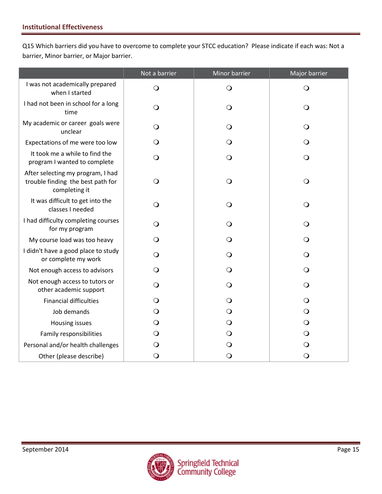Q15 Which barriers did you have to overcome to complete your STCC education? Please indicate if each was: Not a barrier, Minor barrier, or Major barrier.

|                                                                                         | Not a barrier | Minor barrier | Major barrier |
|-----------------------------------------------------------------------------------------|---------------|---------------|---------------|
| I was not academically prepared<br>when I started                                       | $\bigcirc$    | $\bigcirc$    | $\bigcirc$    |
| I had not been in school for a long<br>time                                             | $\bigcirc$    | $\circ$       | $\Omega$      |
| My academic or career goals were<br>unclear                                             | $\bigcirc$    | $\bigcirc$    | $\bigcirc$    |
| Expectations of me were too low                                                         | $\bigcirc$    | $\bigcirc$    | $\bigcirc$    |
| It took me a while to find the<br>program I wanted to complete                          | $\bigcirc$    | $\bigcirc$    | $\bigcirc$    |
| After selecting my program, I had<br>trouble finding the best path for<br>completing it | $\bigcirc$    | $\bigcirc$    | $\bigcirc$    |
| It was difficult to get into the<br>classes I needed                                    | $\bigcirc$    | $\bigcirc$    | $\bigcirc$    |
| I had difficulty completing courses<br>for my program                                   | $\bigcirc$    | $\circ$       | $\bigcirc$    |
| My course load was too heavy                                                            | O             | $\mathbf{O}$  | $\Omega$      |
| I didn't have a good place to study<br>or complete my work                              | $\mathsf{O}$  | $\Omega$      | $\bigcirc$    |
| Not enough access to advisors                                                           | $\Omega$      | $\Omega$      | $\Omega$      |
| Not enough access to tutors or<br>other academic support                                | $\mathsf{O}$  | $\bigcirc$    | $\Omega$      |
| <b>Financial difficulties</b>                                                           | $\circ$       | $\bigcirc$    | $\Omega$      |
| Job demands                                                                             | $\circ$       | $\bigcirc$    | $\circ$       |
| Housing issues                                                                          | $\bigcirc$    | $\bigcirc$    | $\bigcirc$    |
| Family responsibilities                                                                 | $\mathsf{O}$  | $\bigcirc$    | $\bigcirc$    |
| Personal and/or health challenges                                                       | $\bigcirc$    | $\mathbf{O}$  | $\bigcirc$    |
| Other (please describe)                                                                 | $\bigcirc$    | $\bigcirc$    | $\bigcirc$    |

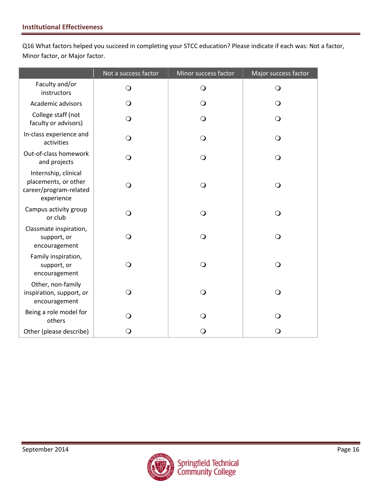Q16 What factors helped you succeed in completing your STCC education? Please indicate if each was: Not a factor, Minor factor, or Major factor.

|                                                                                      | Not a success factor | Minor success factor | Major success factor |
|--------------------------------------------------------------------------------------|----------------------|----------------------|----------------------|
| Faculty and/or<br>instructors                                                        | $\bigcirc$           | $\bigcirc$           | $\mathsf{O}$         |
| Academic advisors                                                                    | $\bigcirc$           | $\bigcirc$           | $\mathsf{O}$         |
| College staff (not<br>faculty or advisors)                                           | $\bigcirc$           | $\mathsf{O}$         | $\mathsf{O}$         |
| In-class experience and<br>activities                                                | $\Omega$             | $\mathsf{O}$         | $\bigcirc$           |
| Out-of-class homework<br>and projects                                                | $\bigcirc$           | $\bigcirc$           | $\bigcirc$           |
| Internship, clinical<br>placements, or other<br>career/program-related<br>experience | $\bigcirc$           | $\bigcirc$           | $\bigcirc$           |
| Campus activity group<br>or club                                                     | $\Omega$             | $\bigcirc$           | $\bigcirc$           |
| Classmate inspiration,<br>support, or<br>encouragement                               | $\bigcirc$           | $\bigcirc$           | $\overline{O}$       |
| Family inspiration,<br>support, or<br>encouragement                                  | $\Omega$             | $\bigcirc$           | $\bigcirc$           |
| Other, non-family<br>inspiration, support, or<br>encouragement                       | $\mathsf{O}$         | $\bigcirc$           | $\Omega$             |
| Being a role model for<br>others                                                     | $\Omega$             | $\bigcirc$           | ∩                    |
| Other (please describe)                                                              | O                    | $\bigcirc$           | O                    |

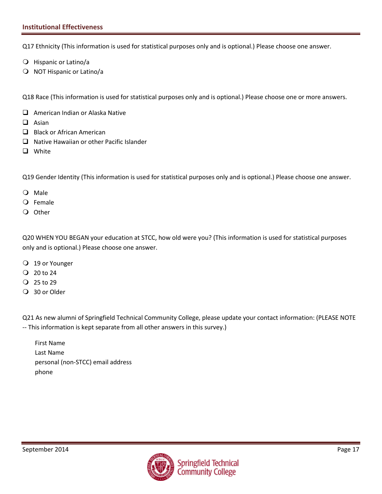#### **Institutional Effectiveness**

Q17 Ethnicity (This information is used for statistical purposes only and is optional.) Please choose one answer.

- Hispanic or Latino/a
- O NOT Hispanic or Latino/a

Q18 Race (This information is used for statistical purposes only and is optional.) Please choose one or more answers.

- □ American Indian or Alaska Native
- $\Box$  Asian
- $\Box$  Black or African American
- $\Box$  Native Hawaiian or other Pacific Islander
- **Q** White

Q19 Gender Identity (This information is used for statistical purposes only and is optional.) Please choose one answer.

- Male
- Female
- O Other

Q20 WHEN YOU BEGAN your education at STCC, how old were you? (This information is used for statistical purposes only and is optional.) Please choose one answer.

- 19 or Younger
- $Q$  20 to 24
- $Q$  25 to 29
- 30 or Older

Q21 As new alumni of Springfield Technical Community College, please update your contact information: (PLEASE NOTE -- This information is kept separate from all other answers in this survey.)

First Name Last Name personal (non-STCC) email address phone

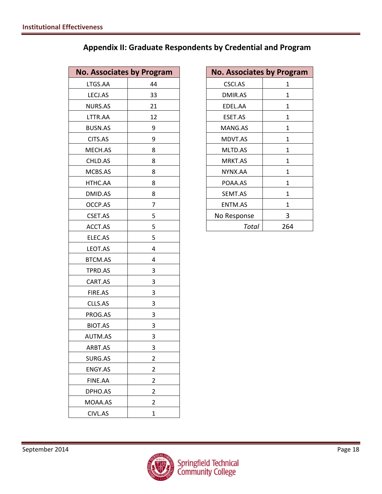| Appendix II: Graduate Respondents by Credential and Program |  |  |  |
|-------------------------------------------------------------|--|--|--|
|-------------------------------------------------------------|--|--|--|

| <b>No. Associates by Program</b> |                | <b>No. Associates by Prog</b> |              |
|----------------------------------|----------------|-------------------------------|--------------|
| LTGS.AA                          | 44             | CSCI.AS                       | 1            |
| LECJ.AS                          | 33             | DMIR.AS                       | $\mathbf{1}$ |
| NURS.AS                          | 21             | EDEL.AA                       | $\mathbf{1}$ |
| LTTR.AA                          | 12             | ESET.AS                       | $\mathbf{1}$ |
| <b>BUSN.AS</b>                   | 9              | MANG.AS                       | $\mathbf{1}$ |
| CITS.AS                          | 9              | MDVT.AS                       | $\mathbf{1}$ |
| MECH.AS                          | 8              | MLTD.AS                       | $\mathbf{1}$ |
| CHLD.AS                          | 8              | MRKT.AS                       | $\mathbf{1}$ |
| MCBS.AS                          | 8              | NYNX.AA                       | $\mathbf{1}$ |
| HTHC.AA                          | 8              | POAA.AS                       | $\mathbf{1}$ |
| DMID.AS                          | 8              | SEMT.AS                       | $\mathbf{1}$ |
| OCCP.AS                          | 7              | ENTM.AS                       | $\mathbf{1}$ |
| CSET.AS                          | 5              | No Response                   | 3            |
| ACCT.AS                          | 5              | Total                         | 264          |
| ELEC.AS                          | 5              |                               |              |
| LEOT.AS                          | 4              |                               |              |
| BTCM.AS                          | 4              |                               |              |
| TPRD.AS                          | 3              |                               |              |
| CART.AS                          | 3              |                               |              |
| FIRE.AS                          | 3              |                               |              |
| CLLS.AS                          | 3              |                               |              |
| PROG.AS                          | 3              |                               |              |
| BIOT.AS                          | 3              |                               |              |
| AUTM.AS                          | 3              |                               |              |
| ARBT.AS                          | 3              |                               |              |
| SURG.AS                          | $\overline{2}$ |                               |              |
| ENGY.AS                          | $\overline{2}$ |                               |              |
| FINE.AA                          | 2              |                               |              |
| DPHO.AS                          | 2              |                               |              |
| MOAA.AS                          | 2              |                               |              |
| CIVL.AS                          | $\mathbf 1$    |                               |              |

| <b>No. Associates by Program</b> |    | <b>No. Associates by Program</b> |              |
|----------------------------------|----|----------------------------------|--------------|
| LTGS.AA                          | 44 | <b>CSCI.AS</b>                   | 1            |
| LECJ.AS                          | 33 | DMIR.AS                          | 1            |
| <b>NURS.AS</b>                   | 21 | EDEL.AA                          | $\mathbf{1}$ |
| LTTR.AA                          | 12 | ESET.AS                          | 1            |
| <b>BUSN.AS</b>                   | 9  | MANG.AS                          | 1            |
| CITS.AS                          | 9  | MDVT.AS                          | 1            |
| MECH.AS                          | 8  | MLTD.AS                          | 1            |
| CHLD.AS                          | 8  | <b>MRKT.AS</b>                   | 1            |
| MCBS.AS                          | 8  | NYNX.AA                          | 1            |
| HTHC.AA                          | 8  | POAA.AS                          | 1            |
| DMID.AS                          | 8  | SEMT.AS                          | 1            |
| OCCP.AS                          | 7  | <b>ENTM.AS</b>                   | 1            |
| CSET.AS                          | 5  | No Response                      | 3            |
| ACCT.AS                          | 5  | Total                            | 264          |